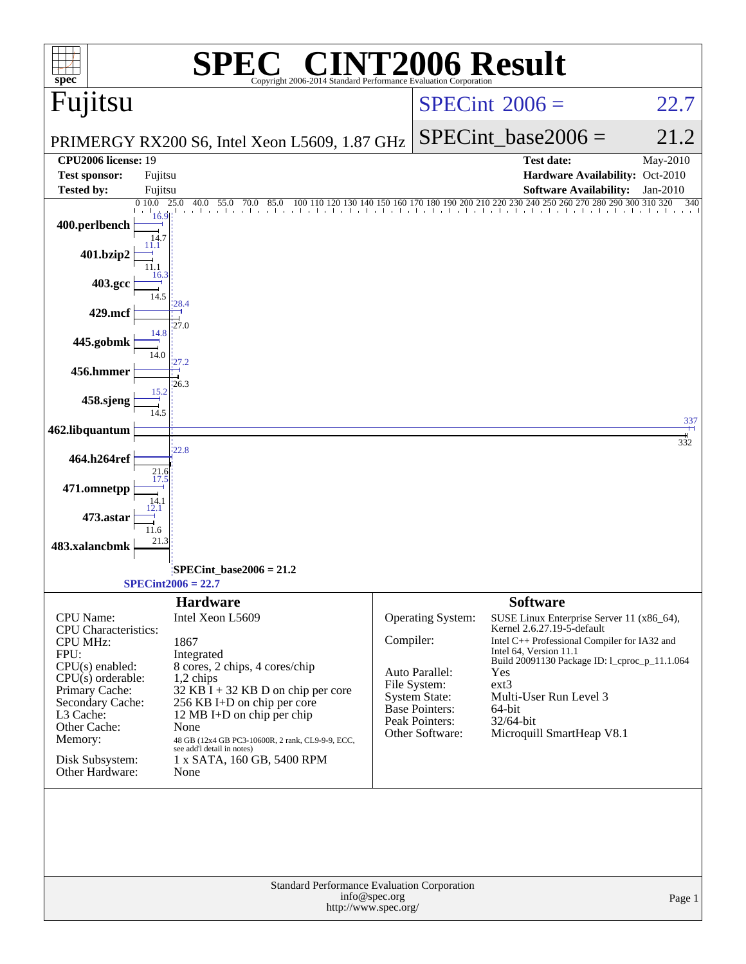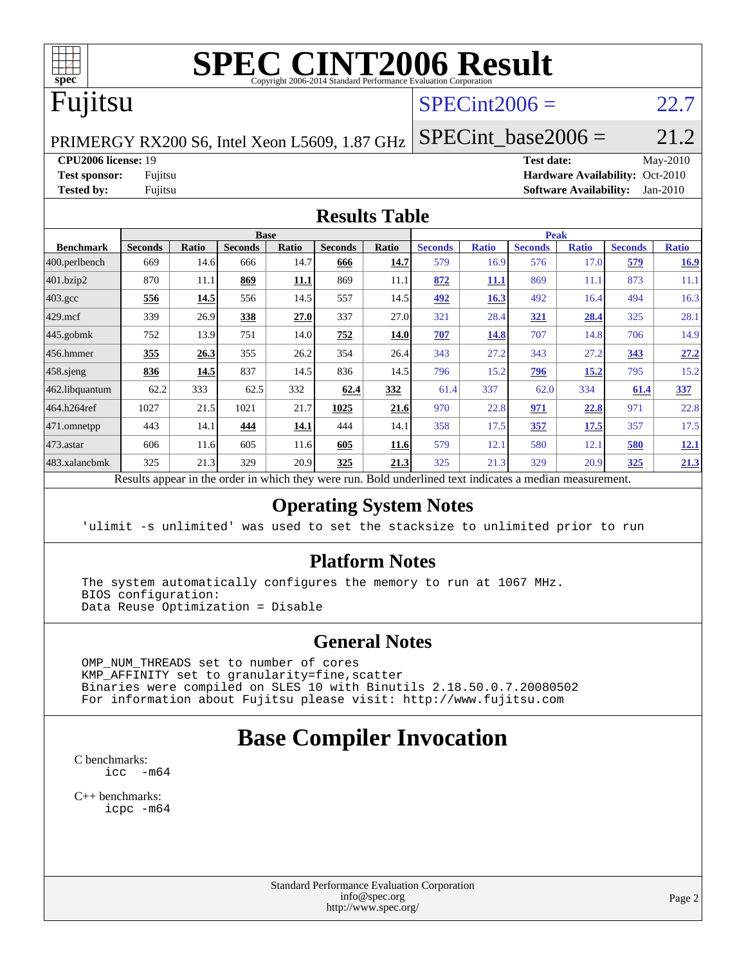

# **[SPEC CINT2006 Result](http://www.spec.org/auto/cpu2006/Docs/result-fields.html#SPECCINT2006Result)**

# Fujitsu

### $SPECint2006 = 22.7$  $SPECint2006 = 22.7$

PRIMERGY RX200 S6, Intel Xeon L5609, 1.87 GHz

SPECint base2006 =  $21.2$ 

### **[CPU2006 license:](http://www.spec.org/auto/cpu2006/Docs/result-fields.html#CPU2006license)** 19 **[Test date:](http://www.spec.org/auto/cpu2006/Docs/result-fields.html#Testdate)** May-2010

**[Test sponsor:](http://www.spec.org/auto/cpu2006/Docs/result-fields.html#Testsponsor)** Fujitsu **[Hardware Availability:](http://www.spec.org/auto/cpu2006/Docs/result-fields.html#HardwareAvailability)** Oct-2010 **[Tested by:](http://www.spec.org/auto/cpu2006/Docs/result-fields.html#Testedby)** Fujitsu **[Software Availability:](http://www.spec.org/auto/cpu2006/Docs/result-fields.html#SoftwareAvailability)** Jan-2010

### **[Results Table](http://www.spec.org/auto/cpu2006/Docs/result-fields.html#ResultsTable)**

|                    |                |             |                | <b>Base</b> |                |             |                       |              | <b>Peak</b>    |              |                |              |
|--------------------|----------------|-------------|----------------|-------------|----------------|-------------|-----------------------|--------------|----------------|--------------|----------------|--------------|
| <b>Benchmark</b>   | <b>Seconds</b> | Ratio       | <b>Seconds</b> | Ratio       | <b>Seconds</b> | Ratio       | <b>Seconds</b>        | <b>Ratio</b> | <b>Seconds</b> | <b>Ratio</b> | <b>Seconds</b> | <b>Ratio</b> |
| 400.perlbench      | 669            | 14.6        | 666            | 14.7        | 666            | 14.7        | 579                   | 16.9         | 576            | 17.0         | 579            | 16.9         |
| 401.bzip2          | 870            | 11.1        | 869            | <u>11.1</u> | 869            | 11.1        | 872                   | <u>11.1</u>  | 869            | 11.1         | 873            | 11.1         |
| $403.\mathrm{gcc}$ | 556            | <u>14.5</u> | 556            | 14.5        | 557            | 14.5        | <u>492</u>            | 16.3         | 492            | 16.4         | 494            | 16.3         |
| $429$ .mcf         | 339            | 26.9        | 338            | 27.0        | 337            | 27.0        | 321                   | 28.4         | 321            | <u>28.4</u>  | 325            | 28.1         |
| $445$ .gobmk       | 752            | 13.9        | 751            | 14.0        | 752            | 14.0        | 707                   | 14.8         | 707            | 14.8         | 706            | 14.9         |
| 456.hmmer          | 355            | 26.3        | 355            | 26.2        | 354            | 26.4        | 343                   | 27.2         | 343            | 27.2         | 343            | 27.2         |
| $458$ .sjeng       | 836            | 14.5        | 837            | 14.5        | 836            | 14.5        | 796                   | 15.2         | 796            | 15.2         | 795            | 15.2         |
| 462.libquantum     | 62.2           | 333         | 62.5           | 332         | 62.4           | 332         | 61.4                  | 337          | 62.0           | 334          | 61.4           | 337          |
| 464.h264ref        | 1027           | 21.5        | 1021           | 21.7        | 1025           | 21.6        | 970                   | 22.8         | 971            | 22.8         | 971            | 22.8         |
| 471.omnetpp        | 443            | 14.1        | 444            | 14.1        | 444            | 14.1        | 358                   | 17.5         | 357            | 17.5         | 357            | 17.5         |
| $473.$ astar       | 606            | 11.6        | 605            | 11.6        | 605            | 11.6        | 579                   | 12.1         | 580            | 12.1         | 580            | 12.1         |
| 483.xalancbmk      | 325            | 21.3        | 329            | 20.9        | 325            | 21.3        | 325                   | 21.3         | 329            | 20.9         | 325            | 21.3         |
| $\mathbf{r}$       | $\mathbf{I}$ . | $\cdot$     |                | 1.1.1       |                | <b>D</b> 11 | 1.1<br>$\blacksquare$ | $\cdot$      |                |              |                |              |

Results appear in the [order in which they were run.](http://www.spec.org/auto/cpu2006/Docs/result-fields.html#RunOrder) Bold underlined text [indicates a median measurement.](http://www.spec.org/auto/cpu2006/Docs/result-fields.html#Median)

### **[Operating System Notes](http://www.spec.org/auto/cpu2006/Docs/result-fields.html#OperatingSystemNotes)**

'ulimit -s unlimited' was used to set the stacksize to unlimited prior to run

### **[Platform Notes](http://www.spec.org/auto/cpu2006/Docs/result-fields.html#PlatformNotes)**

 The system automatically configures the memory to run at 1067 MHz. BIOS configuration: Data Reuse Optimization = Disable

### **[General Notes](http://www.spec.org/auto/cpu2006/Docs/result-fields.html#GeneralNotes)**

 OMP\_NUM\_THREADS set to number of cores KMP\_AFFINITY set to granularity=fine,scatter Binaries were compiled on SLES 10 with Binutils 2.18.50.0.7.20080502 For information about Fujitsu please visit: <http://www.fujitsu.com>

## **[Base Compiler Invocation](http://www.spec.org/auto/cpu2006/Docs/result-fields.html#BaseCompilerInvocation)**

[C benchmarks](http://www.spec.org/auto/cpu2006/Docs/result-fields.html#Cbenchmarks):  $\text{icc}$   $-\text{m64}$ 

[C++ benchmarks:](http://www.spec.org/auto/cpu2006/Docs/result-fields.html#CXXbenchmarks) [icpc -m64](http://www.spec.org/cpu2006/results/res2010q3/cpu2006-20100706-12318.flags.html#user_CXXbase_intel_icpc_64bit_fc66a5337ce925472a5c54ad6a0de310)

> Standard Performance Evaluation Corporation [info@spec.org](mailto:info@spec.org) <http://www.spec.org/>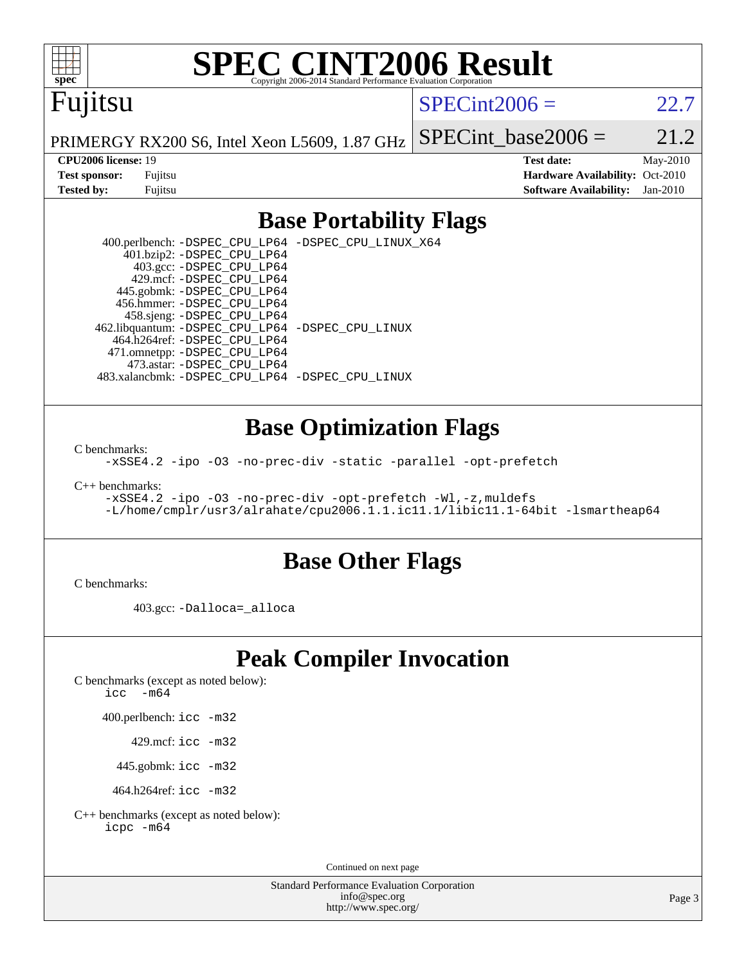

# **[SPEC CINT2006 Result](http://www.spec.org/auto/cpu2006/Docs/result-fields.html#SPECCINT2006Result)**

# Fujitsu

 $SPECint2006 = 22.7$  $SPECint2006 = 22.7$ 

PRIMERGY RX200 S6, Intel Xeon L5609, 1.87 GHz

SPECint base2006 =  $21.2$ 

**[CPU2006 license:](http://www.spec.org/auto/cpu2006/Docs/result-fields.html#CPU2006license)** 19 **[Test date:](http://www.spec.org/auto/cpu2006/Docs/result-fields.html#Testdate)** May-2010 **[Test sponsor:](http://www.spec.org/auto/cpu2006/Docs/result-fields.html#Testsponsor)** Fujitsu **[Hardware Availability:](http://www.spec.org/auto/cpu2006/Docs/result-fields.html#HardwareAvailability)** Oct-2010 **[Tested by:](http://www.spec.org/auto/cpu2006/Docs/result-fields.html#Testedby)** Fujitsu **[Software Availability:](http://www.spec.org/auto/cpu2006/Docs/result-fields.html#SoftwareAvailability)** Jan-2010

### **[Base Portability Flags](http://www.spec.org/auto/cpu2006/Docs/result-fields.html#BasePortabilityFlags)**

 400.perlbench: [-DSPEC\\_CPU\\_LP64](http://www.spec.org/cpu2006/results/res2010q3/cpu2006-20100706-12318.flags.html#b400.perlbench_basePORTABILITY_DSPEC_CPU_LP64) [-DSPEC\\_CPU\\_LINUX\\_X64](http://www.spec.org/cpu2006/results/res2010q3/cpu2006-20100706-12318.flags.html#b400.perlbench_baseCPORTABILITY_DSPEC_CPU_LINUX_X64) 401.bzip2: [-DSPEC\\_CPU\\_LP64](http://www.spec.org/cpu2006/results/res2010q3/cpu2006-20100706-12318.flags.html#suite_basePORTABILITY401_bzip2_DSPEC_CPU_LP64) 403.gcc: [-DSPEC\\_CPU\\_LP64](http://www.spec.org/cpu2006/results/res2010q3/cpu2006-20100706-12318.flags.html#suite_basePORTABILITY403_gcc_DSPEC_CPU_LP64) 429.mcf: [-DSPEC\\_CPU\\_LP64](http://www.spec.org/cpu2006/results/res2010q3/cpu2006-20100706-12318.flags.html#suite_basePORTABILITY429_mcf_DSPEC_CPU_LP64) 445.gobmk: [-DSPEC\\_CPU\\_LP64](http://www.spec.org/cpu2006/results/res2010q3/cpu2006-20100706-12318.flags.html#suite_basePORTABILITY445_gobmk_DSPEC_CPU_LP64) 456.hmmer: [-DSPEC\\_CPU\\_LP64](http://www.spec.org/cpu2006/results/res2010q3/cpu2006-20100706-12318.flags.html#suite_basePORTABILITY456_hmmer_DSPEC_CPU_LP64) 458.sjeng: [-DSPEC\\_CPU\\_LP64](http://www.spec.org/cpu2006/results/res2010q3/cpu2006-20100706-12318.flags.html#suite_basePORTABILITY458_sjeng_DSPEC_CPU_LP64) 462.libquantum: [-DSPEC\\_CPU\\_LP64](http://www.spec.org/cpu2006/results/res2010q3/cpu2006-20100706-12318.flags.html#suite_basePORTABILITY462_libquantum_DSPEC_CPU_LP64) [-DSPEC\\_CPU\\_LINUX](http://www.spec.org/cpu2006/results/res2010q3/cpu2006-20100706-12318.flags.html#b462.libquantum_baseCPORTABILITY_DSPEC_CPU_LINUX) 464.h264ref: [-DSPEC\\_CPU\\_LP64](http://www.spec.org/cpu2006/results/res2010q3/cpu2006-20100706-12318.flags.html#suite_basePORTABILITY464_h264ref_DSPEC_CPU_LP64) 471.omnetpp: [-DSPEC\\_CPU\\_LP64](http://www.spec.org/cpu2006/results/res2010q3/cpu2006-20100706-12318.flags.html#suite_basePORTABILITY471_omnetpp_DSPEC_CPU_LP64) 473.astar: [-DSPEC\\_CPU\\_LP64](http://www.spec.org/cpu2006/results/res2010q3/cpu2006-20100706-12318.flags.html#suite_basePORTABILITY473_astar_DSPEC_CPU_LP64) 483.xalancbmk: [-DSPEC\\_CPU\\_LP64](http://www.spec.org/cpu2006/results/res2010q3/cpu2006-20100706-12318.flags.html#suite_basePORTABILITY483_xalancbmk_DSPEC_CPU_LP64) [-DSPEC\\_CPU\\_LINUX](http://www.spec.org/cpu2006/results/res2010q3/cpu2006-20100706-12318.flags.html#b483.xalancbmk_baseCXXPORTABILITY_DSPEC_CPU_LINUX)

### **[Base Optimization Flags](http://www.spec.org/auto/cpu2006/Docs/result-fields.html#BaseOptimizationFlags)**

[C benchmarks](http://www.spec.org/auto/cpu2006/Docs/result-fields.html#Cbenchmarks):

[-xSSE4.2](http://www.spec.org/cpu2006/results/res2010q3/cpu2006-20100706-12318.flags.html#user_CCbase_f-xSSE42_f91528193cf0b216347adb8b939d4107) [-ipo](http://www.spec.org/cpu2006/results/res2010q3/cpu2006-20100706-12318.flags.html#user_CCbase_f-ipo) [-O3](http://www.spec.org/cpu2006/results/res2010q3/cpu2006-20100706-12318.flags.html#user_CCbase_f-O3) [-no-prec-div](http://www.spec.org/cpu2006/results/res2010q3/cpu2006-20100706-12318.flags.html#user_CCbase_f-no-prec-div) [-static](http://www.spec.org/cpu2006/results/res2010q3/cpu2006-20100706-12318.flags.html#user_CCbase_f-static) [-parallel](http://www.spec.org/cpu2006/results/res2010q3/cpu2006-20100706-12318.flags.html#user_CCbase_f-parallel) [-opt-prefetch](http://www.spec.org/cpu2006/results/res2010q3/cpu2006-20100706-12318.flags.html#user_CCbase_f-opt-prefetch)

[C++ benchmarks:](http://www.spec.org/auto/cpu2006/Docs/result-fields.html#CXXbenchmarks)

[-xSSE4.2](http://www.spec.org/cpu2006/results/res2010q3/cpu2006-20100706-12318.flags.html#user_CXXbase_f-xSSE42_f91528193cf0b216347adb8b939d4107) [-ipo](http://www.spec.org/cpu2006/results/res2010q3/cpu2006-20100706-12318.flags.html#user_CXXbase_f-ipo) [-O3](http://www.spec.org/cpu2006/results/res2010q3/cpu2006-20100706-12318.flags.html#user_CXXbase_f-O3) [-no-prec-div](http://www.spec.org/cpu2006/results/res2010q3/cpu2006-20100706-12318.flags.html#user_CXXbase_f-no-prec-div) [-opt-prefetch](http://www.spec.org/cpu2006/results/res2010q3/cpu2006-20100706-12318.flags.html#user_CXXbase_f-opt-prefetch) [-Wl,-z,muldefs](http://www.spec.org/cpu2006/results/res2010q3/cpu2006-20100706-12318.flags.html#user_CXXbase_link_force_multiple1_74079c344b956b9658436fd1b6dd3a8a) [-L/home/cmplr/usr3/alrahate/cpu2006.1.1.ic11.1/libic11.1-64bit -lsmartheap64](http://www.spec.org/cpu2006/results/res2010q3/cpu2006-20100706-12318.flags.html#user_CXXbase_SmartHeap64_e2306cda84805d1ab360117a79ff779c)

### **[Base Other Flags](http://www.spec.org/auto/cpu2006/Docs/result-fields.html#BaseOtherFlags)**

[C benchmarks](http://www.spec.org/auto/cpu2006/Docs/result-fields.html#Cbenchmarks):

403.gcc: [-Dalloca=\\_alloca](http://www.spec.org/cpu2006/results/res2010q3/cpu2006-20100706-12318.flags.html#b403.gcc_baseEXTRA_CFLAGS_Dalloca_be3056838c12de2578596ca5467af7f3)

## **[Peak Compiler Invocation](http://www.spec.org/auto/cpu2006/Docs/result-fields.html#PeakCompilerInvocation)**

[C benchmarks \(except as noted below\)](http://www.spec.org/auto/cpu2006/Docs/result-fields.html#Cbenchmarksexceptasnotedbelow):

icc  $-m64$ 

400.perlbench: [icc -m32](http://www.spec.org/cpu2006/results/res2010q3/cpu2006-20100706-12318.flags.html#user_peakCCLD400_perlbench_intel_icc_32bit_a6a621f8d50482236b970c6ac5f55f93)

429.mcf: [icc -m32](http://www.spec.org/cpu2006/results/res2010q3/cpu2006-20100706-12318.flags.html#user_peakCCLD429_mcf_intel_icc_32bit_a6a621f8d50482236b970c6ac5f55f93)

445.gobmk: [icc -m32](http://www.spec.org/cpu2006/results/res2010q3/cpu2006-20100706-12318.flags.html#user_peakCCLD445_gobmk_intel_icc_32bit_a6a621f8d50482236b970c6ac5f55f93)

464.h264ref: [icc -m32](http://www.spec.org/cpu2006/results/res2010q3/cpu2006-20100706-12318.flags.html#user_peakCCLD464_h264ref_intel_icc_32bit_a6a621f8d50482236b970c6ac5f55f93)

[C++ benchmarks \(except as noted below\):](http://www.spec.org/auto/cpu2006/Docs/result-fields.html#CXXbenchmarksexceptasnotedbelow) [icpc -m64](http://www.spec.org/cpu2006/results/res2010q3/cpu2006-20100706-12318.flags.html#user_CXXpeak_intel_icpc_64bit_fc66a5337ce925472a5c54ad6a0de310)

Continued on next page

Standard Performance Evaluation Corporation [info@spec.org](mailto:info@spec.org) <http://www.spec.org/>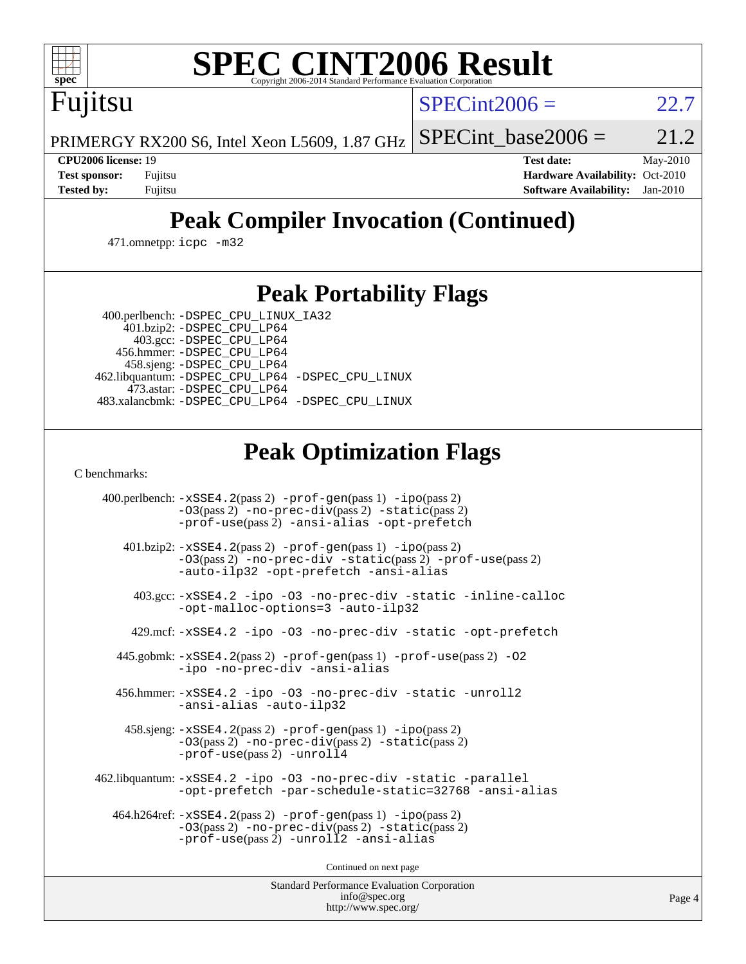

# **[SPEC CINT2006 Result](http://www.spec.org/auto/cpu2006/Docs/result-fields.html#SPECCINT2006Result)**

 $SPECint2006 = 22.7$  $SPECint2006 = 22.7$ 

PRIMERGY RX200 S6, Intel Xeon L5609, 1.87 GHz

SPECint base2006 =  $21.2$ 

Fujitsu

**[CPU2006 license:](http://www.spec.org/auto/cpu2006/Docs/result-fields.html#CPU2006license)** 19 **[Test date:](http://www.spec.org/auto/cpu2006/Docs/result-fields.html#Testdate)** May-2010 **[Test sponsor:](http://www.spec.org/auto/cpu2006/Docs/result-fields.html#Testsponsor)** Fujitsu **[Hardware Availability:](http://www.spec.org/auto/cpu2006/Docs/result-fields.html#HardwareAvailability)** Oct-2010 **[Tested by:](http://www.spec.org/auto/cpu2006/Docs/result-fields.html#Testedby)** Fujitsu **[Software Availability:](http://www.spec.org/auto/cpu2006/Docs/result-fields.html#SoftwareAvailability)** Jan-2010

## **[Peak Compiler Invocation \(Continued\)](http://www.spec.org/auto/cpu2006/Docs/result-fields.html#PeakCompilerInvocation)**

471.omnetpp: [icpc -m32](http://www.spec.org/cpu2006/results/res2010q3/cpu2006-20100706-12318.flags.html#user_peakCXXLD471_omnetpp_intel_icpc_32bit_4e5a5ef1a53fd332b3c49e69c3330699)

### **[Peak Portability Flags](http://www.spec.org/auto/cpu2006/Docs/result-fields.html#PeakPortabilityFlags)**

400.perlbench: [-DSPEC\\_CPU\\_LINUX\\_IA32](http://www.spec.org/cpu2006/results/res2010q3/cpu2006-20100706-12318.flags.html#b400.perlbench_peakCPORTABILITY_DSPEC_CPU_LINUX_IA32)

 401.bzip2: [-DSPEC\\_CPU\\_LP64](http://www.spec.org/cpu2006/results/res2010q3/cpu2006-20100706-12318.flags.html#suite_peakPORTABILITY401_bzip2_DSPEC_CPU_LP64) 403.gcc: [-DSPEC\\_CPU\\_LP64](http://www.spec.org/cpu2006/results/res2010q3/cpu2006-20100706-12318.flags.html#suite_peakPORTABILITY403_gcc_DSPEC_CPU_LP64) 456.hmmer: [-DSPEC\\_CPU\\_LP64](http://www.spec.org/cpu2006/results/res2010q3/cpu2006-20100706-12318.flags.html#suite_peakPORTABILITY456_hmmer_DSPEC_CPU_LP64) 458.sjeng: [-DSPEC\\_CPU\\_LP64](http://www.spec.org/cpu2006/results/res2010q3/cpu2006-20100706-12318.flags.html#suite_peakPORTABILITY458_sjeng_DSPEC_CPU_LP64) 462.libquantum: [-DSPEC\\_CPU\\_LP64](http://www.spec.org/cpu2006/results/res2010q3/cpu2006-20100706-12318.flags.html#suite_peakPORTABILITY462_libquantum_DSPEC_CPU_LP64) [-DSPEC\\_CPU\\_LINUX](http://www.spec.org/cpu2006/results/res2010q3/cpu2006-20100706-12318.flags.html#b462.libquantum_peakCPORTABILITY_DSPEC_CPU_LINUX) 473.astar: [-DSPEC\\_CPU\\_LP64](http://www.spec.org/cpu2006/results/res2010q3/cpu2006-20100706-12318.flags.html#suite_peakPORTABILITY473_astar_DSPEC_CPU_LP64) 483.xalancbmk: [-DSPEC\\_CPU\\_LP64](http://www.spec.org/cpu2006/results/res2010q3/cpu2006-20100706-12318.flags.html#suite_peakPORTABILITY483_xalancbmk_DSPEC_CPU_LP64) [-DSPEC\\_CPU\\_LINUX](http://www.spec.org/cpu2006/results/res2010q3/cpu2006-20100706-12318.flags.html#b483.xalancbmk_peakCXXPORTABILITY_DSPEC_CPU_LINUX)

## **[Peak Optimization Flags](http://www.spec.org/auto/cpu2006/Docs/result-fields.html#PeakOptimizationFlags)**

[C benchmarks](http://www.spec.org/auto/cpu2006/Docs/result-fields.html#Cbenchmarks):

 400.perlbench: [-xSSE4.2](http://www.spec.org/cpu2006/results/res2010q3/cpu2006-20100706-12318.flags.html#user_peakPASS2_CFLAGSPASS2_LDCFLAGS400_perlbench_f-xSSE42_f91528193cf0b216347adb8b939d4107)(pass 2) [-prof-gen](http://www.spec.org/cpu2006/results/res2010q3/cpu2006-20100706-12318.flags.html#user_peakPASS1_CFLAGSPASS1_LDCFLAGS400_perlbench_prof_gen_e43856698f6ca7b7e442dfd80e94a8fc)(pass 1) [-ipo](http://www.spec.org/cpu2006/results/res2010q3/cpu2006-20100706-12318.flags.html#user_peakPASS2_CFLAGSPASS2_LDCFLAGS400_perlbench_f-ipo)(pass 2) [-O3](http://www.spec.org/cpu2006/results/res2010q3/cpu2006-20100706-12318.flags.html#user_peakPASS2_CFLAGSPASS2_LDCFLAGS400_perlbench_f-O3)(pass 2) [-no-prec-div](http://www.spec.org/cpu2006/results/res2010q3/cpu2006-20100706-12318.flags.html#user_peakPASS2_CFLAGSPASS2_LDCFLAGS400_perlbench_f-no-prec-div)(pass 2) [-static](http://www.spec.org/cpu2006/results/res2010q3/cpu2006-20100706-12318.flags.html#user_peakPASS2_CFLAGSPASS2_LDCFLAGS400_perlbench_f-static)(pass 2) [-prof-use](http://www.spec.org/cpu2006/results/res2010q3/cpu2006-20100706-12318.flags.html#user_peakPASS2_CFLAGSPASS2_LDCFLAGS400_perlbench_prof_use_bccf7792157ff70d64e32fe3e1250b55)(pass 2) [-ansi-alias](http://www.spec.org/cpu2006/results/res2010q3/cpu2006-20100706-12318.flags.html#user_peakCOPTIMIZE400_perlbench_f-ansi-alias) [-opt-prefetch](http://www.spec.org/cpu2006/results/res2010q3/cpu2006-20100706-12318.flags.html#user_peakCOPTIMIZE400_perlbench_f-opt-prefetch) 401.bzip2: [-xSSE4.2](http://www.spec.org/cpu2006/results/res2010q3/cpu2006-20100706-12318.flags.html#user_peakPASS2_CFLAGSPASS2_LDCFLAGS401_bzip2_f-xSSE42_f91528193cf0b216347adb8b939d4107)(pass 2) [-prof-gen](http://www.spec.org/cpu2006/results/res2010q3/cpu2006-20100706-12318.flags.html#user_peakPASS1_CFLAGSPASS1_LDCFLAGS401_bzip2_prof_gen_e43856698f6ca7b7e442dfd80e94a8fc)(pass 1) [-ipo](http://www.spec.org/cpu2006/results/res2010q3/cpu2006-20100706-12318.flags.html#user_peakPASS2_CFLAGSPASS2_LDCFLAGS401_bzip2_f-ipo)(pass 2) [-O3](http://www.spec.org/cpu2006/results/res2010q3/cpu2006-20100706-12318.flags.html#user_peakPASS2_CFLAGSPASS2_LDCFLAGS401_bzip2_f-O3)(pass 2) [-no-prec-div](http://www.spec.org/cpu2006/results/res2010q3/cpu2006-20100706-12318.flags.html#user_peakCOPTIMIZEPASS2_CFLAGSPASS2_LDCFLAGS401_bzip2_f-no-prec-div) [-static](http://www.spec.org/cpu2006/results/res2010q3/cpu2006-20100706-12318.flags.html#user_peakPASS2_CFLAGSPASS2_LDCFLAGS401_bzip2_f-static)(pass 2) [-prof-use](http://www.spec.org/cpu2006/results/res2010q3/cpu2006-20100706-12318.flags.html#user_peakPASS2_CFLAGSPASS2_LDCFLAGS401_bzip2_prof_use_bccf7792157ff70d64e32fe3e1250b55)(pass 2) [-auto-ilp32](http://www.spec.org/cpu2006/results/res2010q3/cpu2006-20100706-12318.flags.html#user_peakCOPTIMIZE401_bzip2_f-auto-ilp32) [-opt-prefetch](http://www.spec.org/cpu2006/results/res2010q3/cpu2006-20100706-12318.flags.html#user_peakCOPTIMIZE401_bzip2_f-opt-prefetch) [-ansi-alias](http://www.spec.org/cpu2006/results/res2010q3/cpu2006-20100706-12318.flags.html#user_peakCOPTIMIZE401_bzip2_f-ansi-alias) 403.gcc: [-xSSE4.2](http://www.spec.org/cpu2006/results/res2010q3/cpu2006-20100706-12318.flags.html#user_peakCOPTIMIZE403_gcc_f-xSSE42_f91528193cf0b216347adb8b939d4107) [-ipo](http://www.spec.org/cpu2006/results/res2010q3/cpu2006-20100706-12318.flags.html#user_peakCOPTIMIZE403_gcc_f-ipo) [-O3](http://www.spec.org/cpu2006/results/res2010q3/cpu2006-20100706-12318.flags.html#user_peakCOPTIMIZE403_gcc_f-O3) [-no-prec-div](http://www.spec.org/cpu2006/results/res2010q3/cpu2006-20100706-12318.flags.html#user_peakCOPTIMIZE403_gcc_f-no-prec-div) [-static](http://www.spec.org/cpu2006/results/res2010q3/cpu2006-20100706-12318.flags.html#user_peakCOPTIMIZE403_gcc_f-static) [-inline-calloc](http://www.spec.org/cpu2006/results/res2010q3/cpu2006-20100706-12318.flags.html#user_peakCOPTIMIZE403_gcc_f-inline-calloc) [-opt-malloc-options=3](http://www.spec.org/cpu2006/results/res2010q3/cpu2006-20100706-12318.flags.html#user_peakCOPTIMIZE403_gcc_f-opt-malloc-options_13ab9b803cf986b4ee62f0a5998c2238) [-auto-ilp32](http://www.spec.org/cpu2006/results/res2010q3/cpu2006-20100706-12318.flags.html#user_peakCOPTIMIZE403_gcc_f-auto-ilp32) 429.mcf: [-xSSE4.2](http://www.spec.org/cpu2006/results/res2010q3/cpu2006-20100706-12318.flags.html#user_peakCOPTIMIZE429_mcf_f-xSSE42_f91528193cf0b216347adb8b939d4107) [-ipo](http://www.spec.org/cpu2006/results/res2010q3/cpu2006-20100706-12318.flags.html#user_peakCOPTIMIZE429_mcf_f-ipo) [-O3](http://www.spec.org/cpu2006/results/res2010q3/cpu2006-20100706-12318.flags.html#user_peakCOPTIMIZE429_mcf_f-O3) [-no-prec-div](http://www.spec.org/cpu2006/results/res2010q3/cpu2006-20100706-12318.flags.html#user_peakCOPTIMIZE429_mcf_f-no-prec-div) [-static](http://www.spec.org/cpu2006/results/res2010q3/cpu2006-20100706-12318.flags.html#user_peakCOPTIMIZE429_mcf_f-static) [-opt-prefetch](http://www.spec.org/cpu2006/results/res2010q3/cpu2006-20100706-12318.flags.html#user_peakCOPTIMIZE429_mcf_f-opt-prefetch) 445.gobmk: [-xSSE4.2](http://www.spec.org/cpu2006/results/res2010q3/cpu2006-20100706-12318.flags.html#user_peakPASS2_CFLAGSPASS2_LDCFLAGS445_gobmk_f-xSSE42_f91528193cf0b216347adb8b939d4107)(pass 2) [-prof-gen](http://www.spec.org/cpu2006/results/res2010q3/cpu2006-20100706-12318.flags.html#user_peakPASS1_CFLAGSPASS1_LDCFLAGS445_gobmk_prof_gen_e43856698f6ca7b7e442dfd80e94a8fc)(pass 1) [-prof-use](http://www.spec.org/cpu2006/results/res2010q3/cpu2006-20100706-12318.flags.html#user_peakPASS2_CFLAGSPASS2_LDCFLAGS445_gobmk_prof_use_bccf7792157ff70d64e32fe3e1250b55)(pass 2) [-O2](http://www.spec.org/cpu2006/results/res2010q3/cpu2006-20100706-12318.flags.html#user_peakCOPTIMIZE445_gobmk_f-O2) [-ipo](http://www.spec.org/cpu2006/results/res2010q3/cpu2006-20100706-12318.flags.html#user_peakCOPTIMIZE445_gobmk_f-ipo) [-no-prec-div](http://www.spec.org/cpu2006/results/res2010q3/cpu2006-20100706-12318.flags.html#user_peakCOPTIMIZE445_gobmk_f-no-prec-div) [-ansi-alias](http://www.spec.org/cpu2006/results/res2010q3/cpu2006-20100706-12318.flags.html#user_peakCOPTIMIZE445_gobmk_f-ansi-alias) 456.hmmer: [-xSSE4.2](http://www.spec.org/cpu2006/results/res2010q3/cpu2006-20100706-12318.flags.html#user_peakCOPTIMIZE456_hmmer_f-xSSE42_f91528193cf0b216347adb8b939d4107) [-ipo](http://www.spec.org/cpu2006/results/res2010q3/cpu2006-20100706-12318.flags.html#user_peakCOPTIMIZE456_hmmer_f-ipo) [-O3](http://www.spec.org/cpu2006/results/res2010q3/cpu2006-20100706-12318.flags.html#user_peakCOPTIMIZE456_hmmer_f-O3) [-no-prec-div](http://www.spec.org/cpu2006/results/res2010q3/cpu2006-20100706-12318.flags.html#user_peakCOPTIMIZE456_hmmer_f-no-prec-div) [-static](http://www.spec.org/cpu2006/results/res2010q3/cpu2006-20100706-12318.flags.html#user_peakCOPTIMIZE456_hmmer_f-static) [-unroll2](http://www.spec.org/cpu2006/results/res2010q3/cpu2006-20100706-12318.flags.html#user_peakCOPTIMIZE456_hmmer_f-unroll_784dae83bebfb236979b41d2422d7ec2) [-ansi-alias](http://www.spec.org/cpu2006/results/res2010q3/cpu2006-20100706-12318.flags.html#user_peakCOPTIMIZE456_hmmer_f-ansi-alias) [-auto-ilp32](http://www.spec.org/cpu2006/results/res2010q3/cpu2006-20100706-12318.flags.html#user_peakCOPTIMIZE456_hmmer_f-auto-ilp32) 458.sjeng: [-xSSE4.2](http://www.spec.org/cpu2006/results/res2010q3/cpu2006-20100706-12318.flags.html#user_peakPASS2_CFLAGSPASS2_LDCFLAGS458_sjeng_f-xSSE42_f91528193cf0b216347adb8b939d4107)(pass 2) [-prof-gen](http://www.spec.org/cpu2006/results/res2010q3/cpu2006-20100706-12318.flags.html#user_peakPASS1_CFLAGSPASS1_LDCFLAGS458_sjeng_prof_gen_e43856698f6ca7b7e442dfd80e94a8fc)(pass 1) [-ipo](http://www.spec.org/cpu2006/results/res2010q3/cpu2006-20100706-12318.flags.html#user_peakPASS2_CFLAGSPASS2_LDCFLAGS458_sjeng_f-ipo)(pass 2) [-O3](http://www.spec.org/cpu2006/results/res2010q3/cpu2006-20100706-12318.flags.html#user_peakPASS2_CFLAGSPASS2_LDCFLAGS458_sjeng_f-O3)(pass 2) [-no-prec-div](http://www.spec.org/cpu2006/results/res2010q3/cpu2006-20100706-12318.flags.html#user_peakPASS2_CFLAGSPASS2_LDCFLAGS458_sjeng_f-no-prec-div)(pass 2) [-static](http://www.spec.org/cpu2006/results/res2010q3/cpu2006-20100706-12318.flags.html#user_peakPASS2_CFLAGSPASS2_LDCFLAGS458_sjeng_f-static)(pass 2) [-prof-use](http://www.spec.org/cpu2006/results/res2010q3/cpu2006-20100706-12318.flags.html#user_peakPASS2_CFLAGSPASS2_LDCFLAGS458_sjeng_prof_use_bccf7792157ff70d64e32fe3e1250b55)(pass 2) [-unroll4](http://www.spec.org/cpu2006/results/res2010q3/cpu2006-20100706-12318.flags.html#user_peakCOPTIMIZE458_sjeng_f-unroll_4e5e4ed65b7fd20bdcd365bec371b81f) 462.libquantum: [-xSSE4.2](http://www.spec.org/cpu2006/results/res2010q3/cpu2006-20100706-12318.flags.html#user_peakCOPTIMIZE462_libquantum_f-xSSE42_f91528193cf0b216347adb8b939d4107) [-ipo](http://www.spec.org/cpu2006/results/res2010q3/cpu2006-20100706-12318.flags.html#user_peakCOPTIMIZE462_libquantum_f-ipo) [-O3](http://www.spec.org/cpu2006/results/res2010q3/cpu2006-20100706-12318.flags.html#user_peakCOPTIMIZE462_libquantum_f-O3) [-no-prec-div](http://www.spec.org/cpu2006/results/res2010q3/cpu2006-20100706-12318.flags.html#user_peakCOPTIMIZE462_libquantum_f-no-prec-div) [-static](http://www.spec.org/cpu2006/results/res2010q3/cpu2006-20100706-12318.flags.html#user_peakCOPTIMIZE462_libquantum_f-static) [-parallel](http://www.spec.org/cpu2006/results/res2010q3/cpu2006-20100706-12318.flags.html#user_peakCOPTIMIZE462_libquantum_f-parallel) [-opt-prefetch](http://www.spec.org/cpu2006/results/res2010q3/cpu2006-20100706-12318.flags.html#user_peakCOPTIMIZE462_libquantum_f-opt-prefetch) [-par-schedule-static=32768](http://www.spec.org/cpu2006/results/res2010q3/cpu2006-20100706-12318.flags.html#user_peakCOPTIMIZE462_libquantum_f-par-schedule_9386bcd99ba64e99ee01d1aafefddd14) [-ansi-alias](http://www.spec.org/cpu2006/results/res2010q3/cpu2006-20100706-12318.flags.html#user_peakCOPTIMIZE462_libquantum_f-ansi-alias) 464.h264ref: [-xSSE4.2](http://www.spec.org/cpu2006/results/res2010q3/cpu2006-20100706-12318.flags.html#user_peakPASS2_CFLAGSPASS2_LDCFLAGS464_h264ref_f-xSSE42_f91528193cf0b216347adb8b939d4107)(pass 2) [-prof-gen](http://www.spec.org/cpu2006/results/res2010q3/cpu2006-20100706-12318.flags.html#user_peakPASS1_CFLAGSPASS1_LDCFLAGS464_h264ref_prof_gen_e43856698f6ca7b7e442dfd80e94a8fc)(pass 1) [-ipo](http://www.spec.org/cpu2006/results/res2010q3/cpu2006-20100706-12318.flags.html#user_peakPASS2_CFLAGSPASS2_LDCFLAGS464_h264ref_f-ipo)(pass 2) [-O3](http://www.spec.org/cpu2006/results/res2010q3/cpu2006-20100706-12318.flags.html#user_peakPASS2_CFLAGSPASS2_LDCFLAGS464_h264ref_f-O3)(pass 2) [-no-prec-div](http://www.spec.org/cpu2006/results/res2010q3/cpu2006-20100706-12318.flags.html#user_peakPASS2_CFLAGSPASS2_LDCFLAGS464_h264ref_f-no-prec-div)(pass 2) [-static](http://www.spec.org/cpu2006/results/res2010q3/cpu2006-20100706-12318.flags.html#user_peakPASS2_CFLAGSPASS2_LDCFLAGS464_h264ref_f-static)(pass 2) [-prof-use](http://www.spec.org/cpu2006/results/res2010q3/cpu2006-20100706-12318.flags.html#user_peakPASS2_CFLAGSPASS2_LDCFLAGS464_h264ref_prof_use_bccf7792157ff70d64e32fe3e1250b55)(pass 2) [-unroll2](http://www.spec.org/cpu2006/results/res2010q3/cpu2006-20100706-12318.flags.html#user_peakCOPTIMIZE464_h264ref_f-unroll_784dae83bebfb236979b41d2422d7ec2) [-ansi-alias](http://www.spec.org/cpu2006/results/res2010q3/cpu2006-20100706-12318.flags.html#user_peakCOPTIMIZE464_h264ref_f-ansi-alias)

Continued on next page

Standard Performance Evaluation Corporation [info@spec.org](mailto:info@spec.org) <http://www.spec.org/>